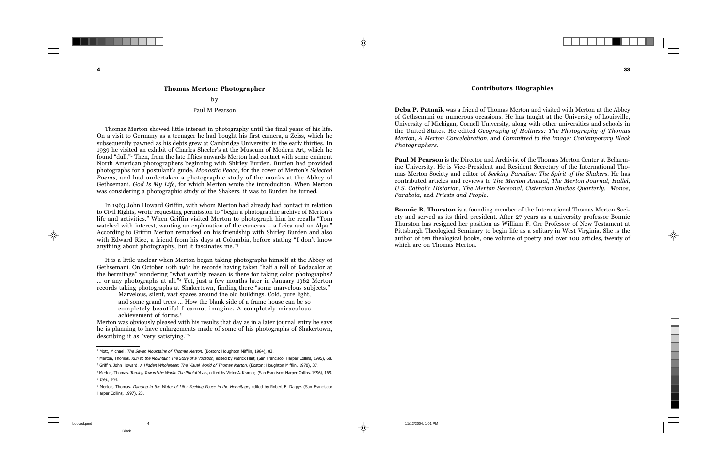## **Thomas Merton: Photographer**

b y

## Paul M Pearson

Thomas Merton showed little interest in photography until the final years of his life. On a visit to Germany as a teenager he had bought his first camera, a Zeiss, which he subsequently pawned as his debts grew at Cambridge University<sup>1</sup> in the early thirties. In 1939 he visited an exhibit of Charles Sheeler's at the Museum of Modern Art, which he found "dull."2 Then, from the late fifties onwards Merton had contact with some eminent North American photographers beginning with Shirley Burden. Burden had provided photographs for a postulant's guide, *Monastic Peace*, for the cover of Merton's *Selected Poems*, and had undertaken a photographic study of the monks at the Abbey of Gethsemani, *God Is My Life*, for which Merton wrote the introduction. When Merton was considering a photographic study of the Shakers, it was to Burden he turned.

In 1963 John Howard Griffin, with whom Merton had already had contact in relation to Civil Rights, wrote requesting permission to "begin a photographic archive of Merton's life and activities." When Griffin visited Merton to photograph him he recalls "Tom watched with interest, wanting an explanation of the cameras – a Leica and an Alpa." According to Griffin Merton remarked on his friendship with Shirley Burden and also with Edward Rice, a friend from his days at Columbia, before stating "I don't know anything about photography, but it fascinates me."3

It is a little unclear when Merton began taking photographs himself at the Abbey of Gethsemani. On October 10th 1961 he records having taken "half a roll of Kodacolor at the hermitage" wondering "what earthly reason is there for taking color photographs? … or any photographs at all."4 Yet, just a few months later in January 1962 Merton records taking photographs at Shakertown, finding there "some marvelous subjects."

Marvelous, silent, vast spaces around the old buildings. Cold, pure light, and some grand trees … How the blank side of a frame house can be so completely beautiful I cannot imagine. A completely miraculous achievement of forms.5

Merton was obviously pleased with his results that day as in a later journal entry he says he is planning to have enlargements made of some of his photographs of Shakertown, describing it as "very satisfying."6

<sup>&</sup>lt;sup>1</sup> Mott, Michael. The Seven Mountains of Thomas Merton. (Boston: Houghton Mifflin, 1984), 83.

<sup>&</sup>lt;sup>2</sup> Merton, Thomas. Run to the Mountain: The Story of a Vocation, edited by Patrick Hart, (San Francisco: Harper Collins, 1995), 68.

<sup>&</sup>lt;sup>3</sup> Griffin, John Howard. A Hidden Wholeness: The Visual World of Thomas Merton, (Boston: Houghton Mifflin, 1970), 37.

<sup>4</sup> Merton, Thomas. Turning Toward the World: The Pivotal Years, edited by Victor A. Kramer, (San Francisco: Harper Collins, 1996), 169. <sup>5</sup> Ibid., 194.

<sup>&</sup>lt;sup>6</sup> Merton, Thomas. Dancing in the Water of Life: Seeking Peace in the Hermitage, edited by Robert E. Daggy, (San Francisco: Harper Collins, 1997), 23.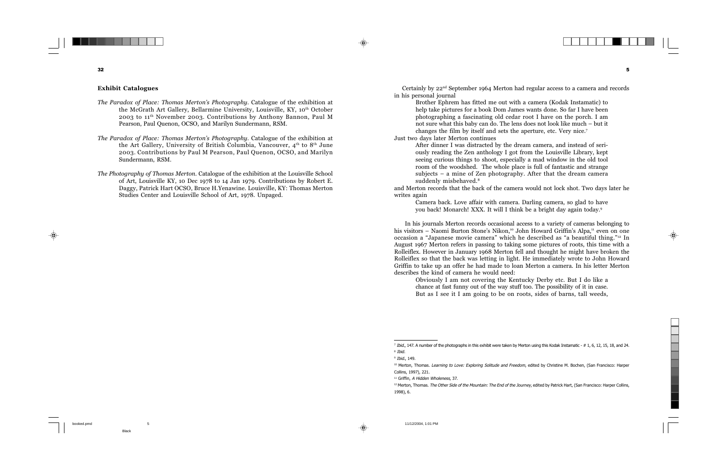Certainly by 22nd September 1964 Merton had regular access to a camera and records in his personal journal

Brother Ephrem has fitted me out with a camera (Kodak Instamatic) to help take pictures for a book Dom James wants done. So far I have been photographing a fascinating old cedar root I have on the porch. I am not sure what this baby can do. The lens does not look like much – but it changes the film by itself and sets the aperture, etc. Very nice.7

Just two days later Merton continues

After dinner I was distracted by the dream camera, and instead of seriously reading the Zen anthology I got from the Louisville Library, kept seeing curious things to shoot, especially a mad window in the old tool room of the woodshed. The whole place is full of fantastic and strange subjects – a mine of Zen photography. After that the dream camera suddenly misbehaved.<sup>8</sup>

and Merton records that the back of the camera would not lock shot. Two days later he writes again

Camera back. Love affair with camera. Darling camera, so glad to have you back! Monarch! XXX. It will I think be a bright day again today.9

In his journals Merton records occasional access to a variety of cameras belonging to his visitors – Naomi Burton Stone's Nikon,<sup>10</sup> John Howard Griffin's Alpa,<sup>11</sup> even on one occasion a "Japanese movie camera" which he described as "a beautiful thing."12 In August 1967 Merton refers in passing to taking some pictures of roots, this time with a Rolleiflex. However in January 1968 Merton fell and thought he might have broken the Rolleiflex so that the back was letting in light. He immediately wrote to John Howard Griffin to take up an offer he had made to loan Merton a camera. In his letter Merton describes the kind of camera he would need:

Obviously I am not covering the Kentucky Derby etc. But I do like a chance at fast funny out of the way stuff too. The possibility of it in case. But as I see it I am going to be on roots, sides of barns, tall weeds,

 $7$  Ibid., 147. A number of the photographs in this exhibit were taken by Merton using this Kodak Instamatic - # 1, 6, 12, 15, 18, and 24. <sup>8</sup> Ibid.

<sup>9</sup> Ibid., 149.

<sup>10</sup> Merton, Thomas. Learning to Love: Exploring Solitude and Freedom, edited by Christine M. Bochen, (San Francisco: Harper Collins, 1997), 221.

<sup>&</sup>lt;sup>11</sup> Griffin, A Hidden Wholeness, 37.

<sup>&</sup>lt;sup>12</sup> Merton, Thomas. The Other Side of the Mountain: The End of the Journey, edited by Patrick Hart, (San Francisco: Harper Collins, 1998), 6.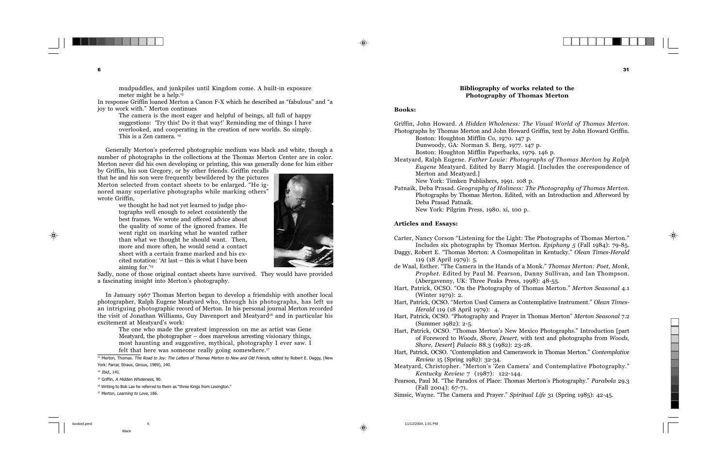mudpuddles, and junkpiles until Kingdom come. A built-in exposure meter might be a help.<sup>13</sup>

In response Griffin loaned Merton a Canon F-X which he described as "fabulous" and "a joy to work with." Merton continues

The camera is the most eager and helpful of beings, all full of happy suggestions: 'Try this! Do it that way!' Reminding me of things I have overlooked, and cooperating in the creation of new worlds. So simply. This is a Zen camera. 14

Generally Merton's preferred photographic medium was black and white, though a number of photographs in the collections at the Thomas Merton Center are in color. Merton never did his own developing or printing, this was generally done for him either

by Griffin, his son Gregory, or by other friends. Griffin recalls that he and his son were frequently bewildered by the pictures Merton selected from contact sheets to be enlarged. "He ignored many superlative photographs while marking others" wrote Griffin,

> we thought he had not yet learned to judge photographs well enough to select consistently the best frames. We wrote and offered advice about the quality of some of the ignored frames. He went right on marking what he wanted rather than what we thought he should want. Then, more and more often, he would send a contact sheet with a certain frame marked and his excited notation: 'At last – this is what I have been aiming for.'15



Sadly, none of those original contact sheets have survived. They would have provided a fascinating insight into Merton's photography.

In January 1967 Thomas Merton began to develop a friendship with another local photographer, Ralph Eugene Meatyard who, through his photographs, has left us an intriguing photographic record of Merton. In his personal journal Merton recorded the visit of Jonathan Williams, Guy Davenport and Meatyard16 and in particular his excitement at Meatyard's work:

The one who made the greatest impression on me as artist was Gene Meatyard, the photographer – does marvelous arresting visionary things, most haunting and suggestive, mythical, photography I ever saw. I felt that here was someone really going somewhere.<sup>17</sup>

<sup>17</sup> Merton, Learning to Love, 186.

<sup>&</sup>lt;sup>13</sup> Merton, Thomas. The Road to Joy: The Letters of Thomas Merton to New and Old Friends, edited by Robert E. Daggy, (New York: Farrar, Straus, Giroux, 1989), 140.

<sup>14</sup> Ibid., 141.

<sup>15</sup> Griffin, A Hidden Wholeness, 90.

<sup>&</sup>lt;sup>16</sup> Writing to Bob Lax he referred to them as "three Kings from Lexington."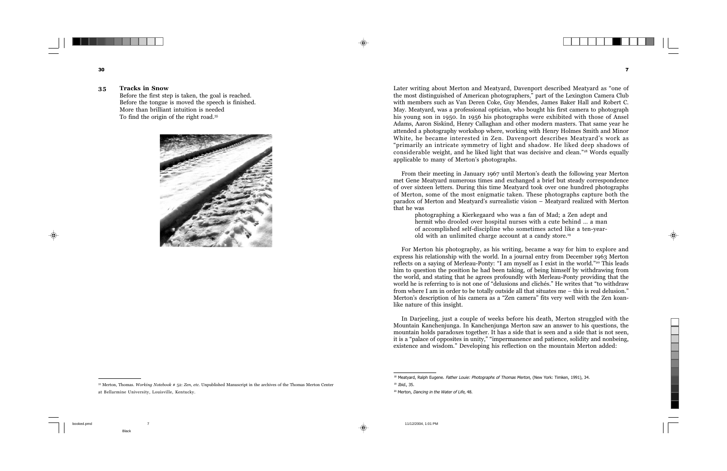Later writing about Merton and Meatyard, Davenport described Meatyard as "one of the most distinguished of American photographers," part of the Lexington Camera Club with members such as Van Deren Coke, Guy Mendes, James Baker Hall and Robert C. May. Meatyard, was a professional optician, who bought his first camera to photograph his young son in 1950. In 1956 his photographs were exhibited with those of Ansel Adams, Aaron Siskind, Henry Callaghan and other modern masters. That same year he attended a photography workshop where, working with Henry Holmes Smith and Minor White, he became interested in Zen. Davenport describes Meatyard's work as "primarily an intricate symmetry of light and shadow. He liked deep shadows of considerable weight, and he liked light that was decisive and clean."18 Words equally applicable to many of Merton's photographs.

From their meeting in January 1967 until Merton's death the following year Merton met Gene Meatyard numerous times and exchanged a brief but steady correspondence of over sixteen letters. During this time Meatyard took over one hundred photographs of Merton, some of the most enigmatic taken. These photographs capture both the paradox of Merton and Meatyard's surrealistic vision – Meatyard realized with Merton that he was

photographing a Kierkegaard who was a fan of Mad; a Zen adept and hermit who drooled over hospital nurses with a cute behind … a man of accomplished self-discipline who sometimes acted like a ten-yearold with an unlimited charge account at a candy store.19

For Merton his photography, as his writing, became a way for him to explore and express his relationship with the world. In a journal entry from December 1963 Merton reflects on a saying of Merleau-Ponty: "I am myself as I exist in the world."<sup>20</sup> This leads him to question the position he had been taking, of being himself by withdrawing from the world, and stating that he agrees profoundly with Merleau-Ponty providing that the world he is referring to is not one of "delusions and clichés." He writes that "to withdraw from where I am in order to be totally outside all that situates me – this is real delusion." Merton's description of his camera as a "Zen camera" fits very well with the Zen koanlike nature of this insight.

In Darjeeling, just a couple of weeks before his death, Merton struggled with the Mountain Kanchenjunga. In Kanchenjunga Merton saw an answer to his questions, the mountain holds paradoxes together. It has a side that is seen and a side that is not seen, it is a "palace of opposites in unity," "impermanence and patience, solidity and nonbeing, existence and wisdom." Developing his reflection on the mountain Merton added:

<sup>&</sup>lt;sup>18</sup> Meatyard, Ralph Eugene. Father Louie: Photographs of Thomas Merton, (New York: Timken, 1991), 34.

<sup>19</sup> Ibid., 35.

<sup>&</sup>lt;sup>20</sup> Merton, Dancing in the Water of Life, 48.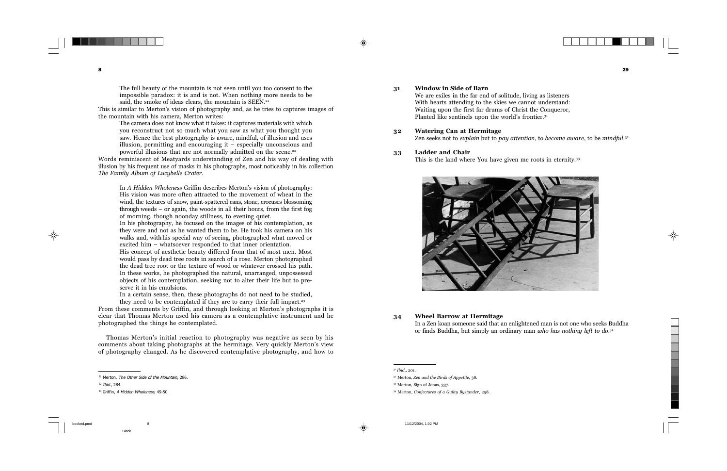The full beauty of the mountain is not seen until you too consent to the impossible paradox: it is and is not. When nothing more needs to be said, the smoke of ideas clears, the mountain is SEEN.<sup>21</sup>

This is similar to Merton's vision of photography and, as he tries to captures images of the mountain with his camera, Merton writes:

The camera does not know what it takes: it captures materials with which you reconstruct not so much what you saw as what you thought you saw. Hence the best photography is aware, mindful, of illusion and uses illusion, permitting and encouraging it – especially unconscious and powerful illusions that are not normally admitted on the scene.<sup>22</sup>

Words reminiscent of Meatyards understanding of Zen and his way of dealing with illusion by his frequent use of masks in his photographs, most noticeably in his collection *The Family Album of Lucybelle Crater*.

In *A Hidden Wholeness* Griffin describes Merton's vision of photography: His vision was more often attracted to the movement of wheat in the wind, the textures of snow, paint-spattered cans, stone, crocuses blossoming through weeds – or again, the woods in all their hours, from the first fog of morning, though noonday stillness, to evening quiet.

In his photography, he focused on the images of his contemplation, as they were and not as he wanted them to be. He took his camera on his walks and, with his special way of seeing, photographed what moved or excited him – whatsoever responded to that inner orientation.

His concept of aesthetic beauty differed from that of most men. Most would pass by dead tree roots in search of a rose. Merton photographed the dead tree root or the texture of wood or whatever crossed his path. In these works, he photographed the natural, unarranged, unpossessed objects of his contemplation, seeking not to alter their life but to preserve it in his emulsions.

In a certain sense, then, these photographs do not need to be studied,

they need to be contemplated if they are to carry their full impact.<sup>23</sup>

From these comments by Griffin, and through looking at Merton's photographs it is clear that Thomas Merton used his camera as a contemplative instrument and he photographed the things he contemplated.

Thomas Merton's initial reaction to photography was negative as seen by his comments about taking photographs at the hermitage. Very quickly Merton's view of photography changed. As he discovered contemplative photography, and how to

<sup>&</sup>lt;sup>21</sup> Merton, The Other Side of the Mountain, 286.

<sup>22</sup> Ibid., 284.

<sup>&</sup>lt;sup>23</sup> Griffin, A Hidden Wholeness, 49-50.